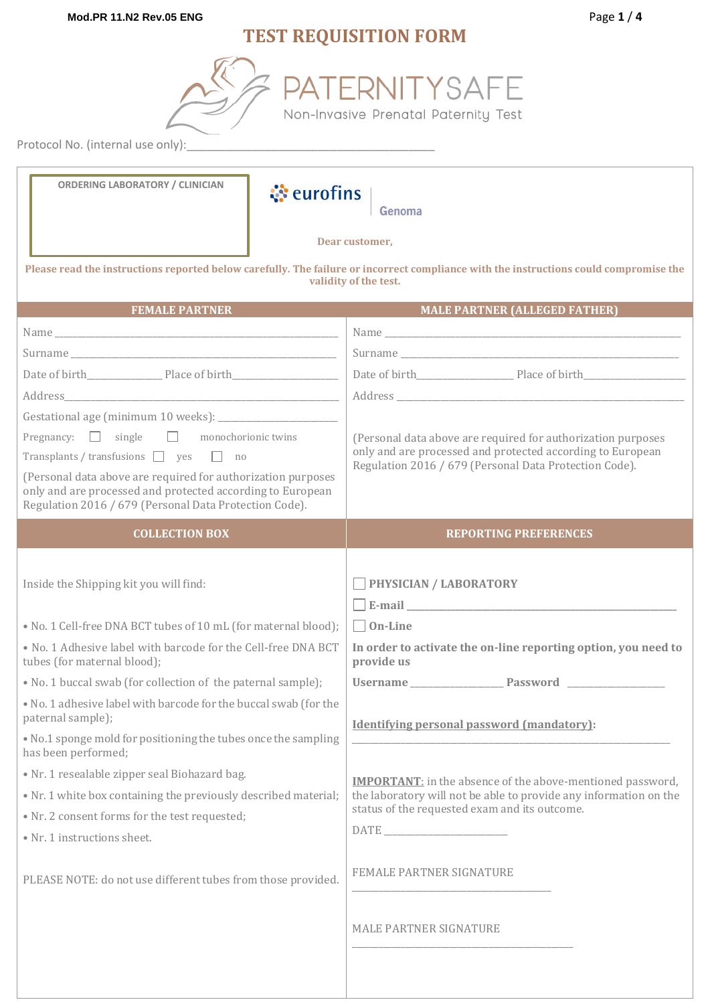# **TEST REQUISITION FORM**

ERNITYSAFE

Non-Invasive Prenatal Paternity Test

Protocol No. (internal use only):

| <b>ORDERING LABORATORY / CLINICIAN</b><br><b><i><u></u></i></b> eurofins                                                                                                                                                                                                                                                                                                                                                                                                                                    | Genoma                                                                                                                                                                                                                                   |
|-------------------------------------------------------------------------------------------------------------------------------------------------------------------------------------------------------------------------------------------------------------------------------------------------------------------------------------------------------------------------------------------------------------------------------------------------------------------------------------------------------------|------------------------------------------------------------------------------------------------------------------------------------------------------------------------------------------------------------------------------------------|
|                                                                                                                                                                                                                                                                                                                                                                                                                                                                                                             | Dear customer,                                                                                                                                                                                                                           |
|                                                                                                                                                                                                                                                                                                                                                                                                                                                                                                             | Please read the instructions reported below carefully. The failure or incorrect compliance with the instructions could compromise the<br>validity of the test.                                                                           |
| <b>FEMALE PARTNER</b>                                                                                                                                                                                                                                                                                                                                                                                                                                                                                       | <b>MALE PARTNER (ALLEGED FATHER)</b>                                                                                                                                                                                                     |
|                                                                                                                                                                                                                                                                                                                                                                                                                                                                                                             |                                                                                                                                                                                                                                          |
|                                                                                                                                                                                                                                                                                                                                                                                                                                                                                                             |                                                                                                                                                                                                                                          |
|                                                                                                                                                                                                                                                                                                                                                                                                                                                                                                             |                                                                                                                                                                                                                                          |
|                                                                                                                                                                                                                                                                                                                                                                                                                                                                                                             |                                                                                                                                                                                                                                          |
|                                                                                                                                                                                                                                                                                                                                                                                                                                                                                                             |                                                                                                                                                                                                                                          |
| Pregnancy: $\Box$ single $\Box$ monochorionic twins                                                                                                                                                                                                                                                                                                                                                                                                                                                         | (Personal data above are required for authorization purposes                                                                                                                                                                             |
| Transplants / transfusions $\Box$ yes $\Box$ no                                                                                                                                                                                                                                                                                                                                                                                                                                                             | only and are processed and protected according to European<br>Regulation 2016 / 679 (Personal Data Protection Code).                                                                                                                     |
| (Personal data above are required for authorization purposes<br>only and are processed and protected according to European<br>Regulation 2016 / 679 (Personal Data Protection Code).                                                                                                                                                                                                                                                                                                                        |                                                                                                                                                                                                                                          |
| <b>COLLECTION BOX</b>                                                                                                                                                                                                                                                                                                                                                                                                                                                                                       | <b>REPORTING PREFERENCES</b>                                                                                                                                                                                                             |
| Inside the Shipping kit you will find:<br>• No. 1 Cell-free DNA BCT tubes of 10 mL (for maternal blood);<br>. No. 1 Adhesive label with barcode for the Cell-free DNA BCT<br>tubes (for maternal blood);<br>• No. 1 buccal swab (for collection of the paternal sample);<br>. No. 1 adhesive label with barcode for the buccal swab (for the<br>paternal sample);<br>. No.1 sponge mold for positioning the tubes once the sampling<br>has been performed;<br>· Nr. 1 resealable zipper seal Biohazard bag. | <b>PHYSICIAN / LABORATORY</b><br>$\Box$ E-mail $\Box$<br>$\Box$ On-Line<br>In order to activate the on-line reporting option, you need to<br>provide us<br>Username Password Number<br><b>Identifying personal password (mandatory):</b> |
| • Nr. 1 white box containing the previously described material;<br>• Nr. 2 consent forms for the test requested;<br>• Nr. 1 instructions sheet.                                                                                                                                                                                                                                                                                                                                                             | <b>IMPORTANT:</b> in the absence of the above-mentioned password,<br>the laboratory will not be able to provide any information on the<br>status of the requested exam and its outcome.                                                  |
| PLEASE NOTE: do not use different tubes from those provided.                                                                                                                                                                                                                                                                                                                                                                                                                                                | <b>FEMALE PARTNER SIGNATURE</b>                                                                                                                                                                                                          |
|                                                                                                                                                                                                                                                                                                                                                                                                                                                                                                             | <b>MALE PARTNER SIGNATURE</b>                                                                                                                                                                                                            |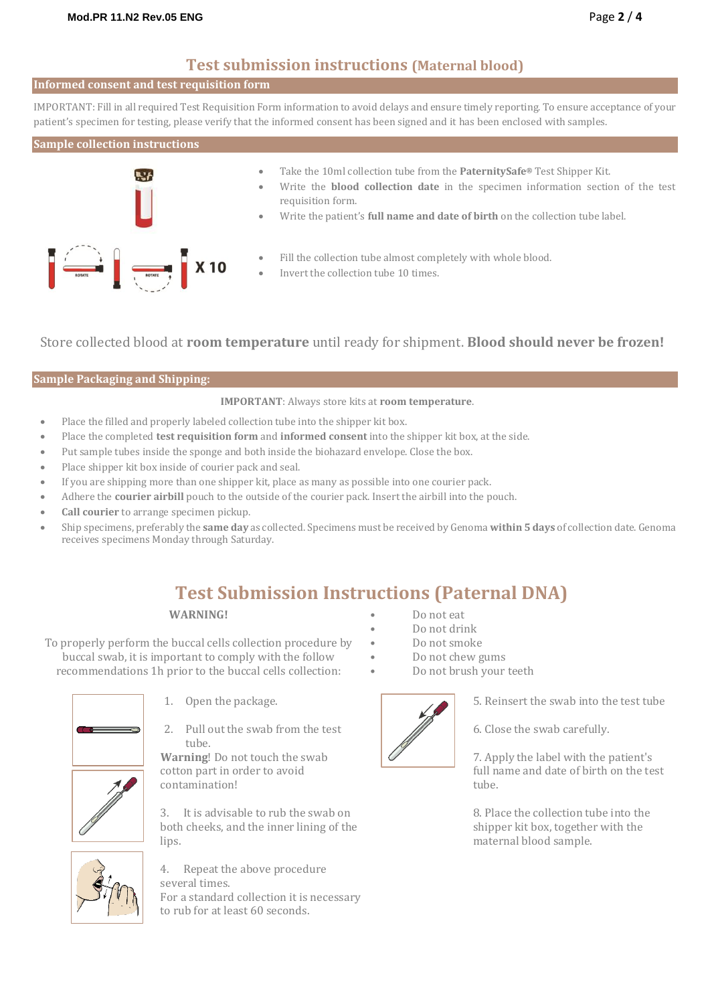### **Test submission instructions (Maternal blood)**

#### **Informed consent and test requisition form**

IMPORTANT: Fill in all required Test Requisition Form information to avoid delays and ensure timely reporting. To ensure acceptance of your patient's specimen for testing, please verify that the informed consent has been signed and it has been enclosed with samples.

#### **Sample collection instructions**



- Take the 10ml collection tube from the **PaternitySafe®** Test Shipper Kit.
- Write the **blood collection date** in the specimen information section of the test requisition form.
- Write the patient's **full name and date of birth** on the collection tube label.
- Fill the collection tube almost completely with whole blood.
- Invert the collection tube 10 times.

Store collected blood at **room temperature** until ready for shipment. **Blood should never be frozen!**

#### **Sample Packaging and Shipping:**

#### **IMPORTANT**: Always store kits at **room temperature**.

- Place the filled and properly labeled collection tube into the shipper kit box.
- Place the completed **test requisition form** and **informed consent** into the shipper kit box, at the side.
- Put sample tubes inside the sponge and both inside the biohazard envelope. Close the box.
- Place shipper kit box inside of courier pack and seal.
- If you are shipping more than one shipper kit, place as many as possible into one courier pack.
- Adhere the **courier airbill** pouch to the outside of the courier pack. Insert the airbill into the pouch.
- **Call courier** to arrange specimen pickup.
- Ship specimens, preferably the **same day** as collected. Specimens must be received by Genoma **within 5 days** of collection date. Genoma receives specimens Monday through Saturday.

## **Test Submission Instructions (Paternal DNA)**

#### **WARNING!**

To properly perform the buccal cells collection procedure by buccal swab, it is important to comply with the follow recommendations 1h prior to the buccal cells collection:



- 1. Open the package.
- 2. Pull out the swab from the test tube.

**Warning**! Do not touch the swab cotton part in order to avoid contamination!

3. It is advisable to rub the swab on both cheeks, and the inner lining of the lips.



4. Repeat the above procedure several times. For a standard collection it is necessary to rub for at least 60 seconds.

- Do not eat
- Do not drink
- Do not smoke
- Do not chew gums
- Do not brush your teeth



5. Reinsert the swab into the test tube

6. Close the swab carefully.

7. Apply the label with the patient's full name and date of birth on the test tube.

8. Place the collection tube into the shipper kit box, together with the maternal blood sample.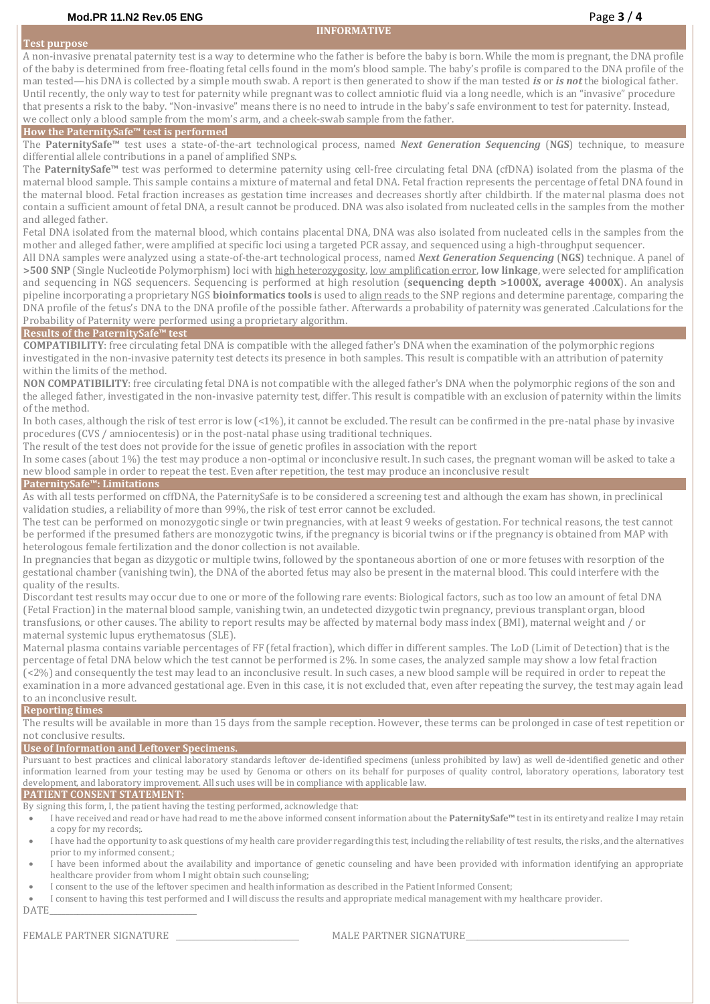#### **IINFORMATIVE**

#### **Test purpose**

A non-invasive prenatal paternity test is a way to determine who the father is before the baby is born. While the mom is pregnant, the DNA profile of the baby is determined from free-floating fetal cells found in the mom's blood sample. The baby's profile is compared to the DNA profile of the man tested—his DNA is collected by a simple mouth swab. A report is then generated to show if the man tested *is* or *is not* the biological father. Until recently, the only way to test for paternity while pregnant was to collect amniotic fluid via a long needle, which is an "invasive" procedure that presents a risk to the baby. "Non-invasive" means there is no need to intrude in the baby's safe environment to test for paternity. Instead, we collect only a blood sample from the mom's arm, and a cheek-swab sample from the father.

#### **How the PaternitySafe™ test is performed**

The **PaternitySafe™** test uses a state-of-the-art technological process, named *Next Generation Sequencing* (**NGS**) technique, to measure differential allele contributions in a panel of amplified SNPs.

The **PaternitySafe™** test was performed to determine paternity using cell-free circulating fetal DNA (cfDNA) isolated from the plasma of the maternal blood sample. This sample contains a mixture of maternal and fetal DNA. Fetal fraction represents the percentage of fetal DNA found in the maternal blood. Fetal fraction increases as gestation time increases and decreases shortly after childbirth. If the maternal plasma does not contain a sufficient amount of fetal DNA, a result cannot be produced. DNA was also isolated from nucleated cells in the samples from the mother and alleged father.

Fetal DNA isolated from the maternal blood, which contains placental DNA, DNA was also isolated from nucleated cells in the samples from the mother and alleged father, were amplified at specific loci using a targeted PCR assay, and sequenced using a high-throughput sequencer.

All DNA samples were analyzed using a state-of-the-art technological process, named *Next Generation Sequencing* (**NGS**) technique. A panel of **>500 SNP** (Single Nucleotide Polymorphism) loci with high heterozygosity, low amplification error, **low linkage**, were selected for amplification and sequencing in NGS sequencers. Sequencing is performed at high resolution (**sequencing depth >1000X, average 4000X**). An analysis pipeline incorporating a proprietary NGS **bioinformatics tools** is used to align reads to the SNP regions and determine parentage, comparing the DNA profile of the fetus's DNA to the DNA profile of the possible father. Afterwards a probability of paternity was generated .Calculations for the Probability of Paternity were performed using a proprietary algorithm.

#### **Results of the PaternitySafe™ test**

**COMPATIBILITY**: free circulating fetal DNA is compatible with the alleged father's DNA when the examination of the polymorphic regions investigated in the non-invasive paternity test detects its presence in both samples. This result is compatible with an attribution of paternity within the limits of the method.

**NON COMPATIBILITY**: free circulating fetal DNA is not compatible with the alleged father's DNA when the polymorphic regions of the son and the alleged father, investigated in the non-invasive paternity test, differ. This result is compatible with an exclusion of paternity within the limits of the method.

In both cases, although the risk of test error is low (<1%), it cannot be excluded. The result can be confirmed in the pre-natal phase by invasive procedures (CVS / amniocentesis) or in the post-natal phase using traditional techniques.

The result of the test does not provide for the issue of genetic profiles in association with the report

In some cases (about 1%) the test may produce a non-optimal or inconclusive result. In such cases, the pregnant woman will be asked to take a new blood sample in order to repeat the test. Even after repetition, the test may produce an inconclusive result

#### **PaternitySafe™: Limitations**

As with all tests performed on cffDNA, the PaternitySafe is to be considered a screening test and although the exam has shown, in preclinical validation studies, a reliability of more than 99%, the risk of test error cannot be excluded.

The test can be performed on monozygotic single or twin pregnancies, with at least 9 weeks of gestation. For technical reasons, the test cannot be performed if the presumed fathers are monozygotic twins, if the pregnancy is bicorial twins or if the pregnancy is obtained from MAP with heterologous female fertilization and the donor collection is not available.

In pregnancies that began as dizygotic or multiple twins, followed by the spontaneous abortion of one or more fetuses with resorption of the gestational chamber (vanishing twin), the DNA of the aborted fetus may also be present in the maternal blood. This could interfere with the quality of the results.

Discordant test results may occur due to one or more of the following rare events: Biological factors, such as too low an amount of fetal DNA (Fetal Fraction) in the maternal blood sample, vanishing twin, an undetected dizygotic twin pregnancy, previous transplant organ, blood transfusions, or other causes. The ability to report results may be affected by maternal body mass index (BMI), maternal weight and / or maternal systemic lupus erythematosus (SLE).

Maternal plasma contains variable percentages of FF (fetal fraction), which differ in different samples. The LoD (Limit of Detection) that is the percentage of fetal DNA below which the test cannot be performed is 2%. In some cases, the analyzed sample may show a low fetal fraction (<2%) and consequently the test may lead to an inconclusive result. In such cases, a new blood sample will be required in order to repeat the examination in a more advanced gestational age. Even in this case, it is not excluded that, even after repeating the survey, the test may again lead to an inconclusive result.

### **Reporting times**

The results will be available in more than 15 days from the sample reception. However, these terms can be prolonged in case of test repetition or not conclusive results.

#### **Use of Information and Leftover Specimens.**

Pursuant to best practices and clinical laboratory standards leftover de-identified specimens (unless prohibited by law) as well de-identified genetic and other information learned from your testing may be used by Genoma or others on its behalf for purposes of quality control, laboratory operations, laboratory test development, and laboratory improvement. All such uses will be in compliance with applicable law.

#### **PATIENT CONSENT STATEMENT:**

By signing this form, I, the patient having the testing performed, acknowledge that:

- I have received and read or have had read to me the above informed consent information about the **PaternitySafe™** test in its entirety and realize I may retain a copy for my records;.
- I have had the opportunity to ask questions of my health care provider regarding this test, including the reliability of test results, the risks, and the alternatives prior to my informed consent.;
- I have been informed about the availability and importance of genetic counseling and have been provided with information identifying an appropriate healthcare provider from whom I might obtain such counseling;
- I consent to the use of the leftover specimen and health information as described in the Patient Informed Consent;

I consent to having this test performed and I will discuss the results and appropriate medical management with my healthcare provider.

DATE\_\_\_\_\_\_\_\_\_\_\_\_\_\_\_\_\_\_\_\_\_\_\_\_\_\_\_\_\_\_\_\_\_\_\_\_\_

FEMALE PARTNER SIGNATURE \_\_\_\_\_\_\_\_\_\_\_\_\_\_\_\_\_\_\_\_\_\_\_\_\_\_\_\_\_\_\_ MALE PARTNER SIGNATURE\_\_\_\_\_\_\_\_\_\_\_\_\_\_\_\_\_\_\_\_\_\_\_\_\_\_\_\_\_\_\_\_\_\_\_\_\_\_\_\_\_